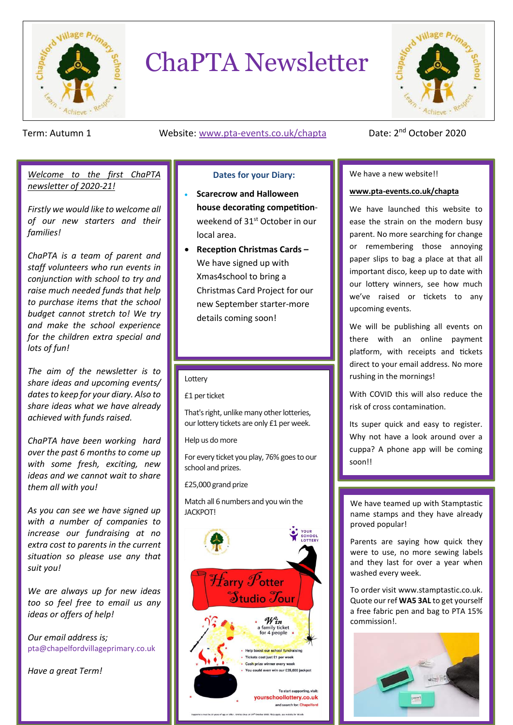

# ChaPTA Newsletter



#### Term: Autumn 1 Website: www.pta-events.co.uk/chapta

### Date: 2<sup>nd</sup> October 2020

#### *Welcome to the first ChaPTA newsletter of 2020-21!*

*Firstly we would like to welcome all of our new starters and their families!*

*ChaPTA is a team of parent and staff volunteers who run events in conjunction with school to try and raise much needed funds that help to purchase items that the school budget cannot stretch to! We try and make the school experience for the children extra special and lots of fun!*

*The aim of the newsletter is to share ideas and upcoming events/ dates to keep for your diary. Also to share ideas what we have already achieved with funds raised.*

*ChaPTA have been working hard over the past 6 months to come up with some fresh, exciting, new ideas and we cannot wait to share them all with you!*

*As you can see we have signed up with a number of companies to increase our fundraising at no extra cost to parents in the current situation so please use any that suit you!*

*We are always up for new ideas too so feel free to email us any ideas or offers of help!*

*Our email address is;* pta@chapelfordvillageprimary.co.uk

*Have a great Term!*

#### **Dates for your Diary:**

- **Scarecrow and Halloween house decorating competition**weekend of 31<sup>st</sup> October in our local area.
- **Reception Christmas Cards –** We have signed up with Xmas4school to bring a Christmas Card Project for our new September starter-more details coming soon!

#### Lottery

£1 per ticket

That's right, unlike many other lotteries, our lottery tickets are only £1 per week.

Help us do more

For every ticket you play, 76% goes to our school and prizes.

£25,000 grand prize

Match all 6 numbers and you win the JACKPOT!



#### We have a new website!!

 $\overline{\phantom{a}}$ 

#### **[www.pta-events.co.uk/chapta](http://www.pta-events.co.uk/chapta)**

We have launched this website to ease the strain on the modern busy parent. No more searching for change or remembering those annoying paper slips to bag a place at that all important disco, keep up to date with our lottery winners, see how much we've raised or tickets to any upcoming events.

We will be publishing all events on there with an online payment platform, with receipts and tickets direct to your email address. No more rushing in the mornings!

With COVID this will also reduce the risk of cross contamination.

Its super quick and easy to register. Why not have a look around over a cuppa? A phone app will be coming soon!!

We have teamed up with Stamptastic name stamps and they have already proved popular!

Parents are saying how quick they were to use, no more sewing labels and they last for over a year when washed every week.

To order visit www.stamptastic.co.uk. Quote our ref **WA5 3AL** to get yourself a free fabric pen and bag to PTA 15% commission!.